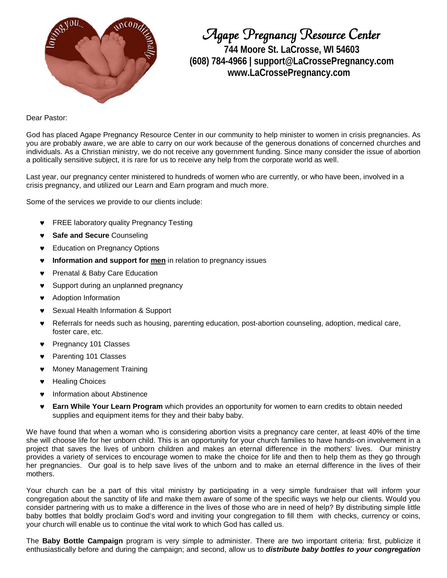

Agape Pregnancy Resource Center **744 Moore St. LaCrosse, WI 54603 (608) 784-4966 | support@LaCrossePregnancy.com www.LaCrossePregnancy.com**

Dear Pastor:

God has placed Agape Pregnancy Resource Center in our community to help minister to women in crisis pregnancies. As you are probably aware, we are able to carry on our work because of the generous donations of concerned churches and individuals. As a Christian ministry, we do not receive any government funding. Since many consider the issue of abortion a politically sensitive subject, it is rare for us to receive any help from the corporate world as well.

Last year, our pregnancy center ministered to hundreds of women who are currently, or who have been, involved in a crisis pregnancy, and utilized our Learn and Earn program and much more.

Some of the services we provide to our clients include:

- **FREE laboratory quality Pregnancy Testing**
- **Safe and Secure** Counseling
- **Education on Pregnancy Options**
- **Information and support for [men](http://www.lacrossepregnancy.com/guys.html)** in relation to pregnancy issues
- Prenatal & Baby Care Education
- Support during an unplanned pregnancy
- Adoption Information
- Sexual Health Information & Support
- Referrals for needs such as housing, parenting education, post-abortion counseling, adoption, medical care, foster care, etc.
- Pregnancy 101 Classes
- Parenting 101 Classes
- **Money Management Training**
- **Healing Choices**
- Information about Abstinence
- **Earn While Your Learn Program** which provides an opportunity for women to earn credits to obtain needed supplies and equipment items for they and their baby baby.

We have found that when a woman who is considering abortion visits a pregnancy care center, at least 40% of the time she will choose life for her unborn child. This is an opportunity for your church families to have hands-on involvement in a project that saves the lives of unborn children and makes an eternal difference in the mothers' lives. Our ministry provides a variety of services to encourage women to make the choice for life and then to help them as they go through her pregnancies. Our goal is to help save lives of the unborn and to make an eternal difference in the lives of their mothers.

Your church can be a part of this vital ministry by participating in a very simple fundraiser that will inform your congregation about the sanctity of life and make them aware of some of the specific ways we help our clients. Would you consider partnering with us to make a difference in the lives of those who are in need of help? By distributing simple little baby bottles that boldly proclaim God's word and inviting your congregation to fill them with checks, currency or coins, your church will enable us to continue the vital work to which God has called us.

The **Baby Bottle Campaign** program is very simple to administer. There are two important criteria: first, publicize it enthusiastically before and during the campaign; and second, allow us to *distribute baby bottles to your congregation*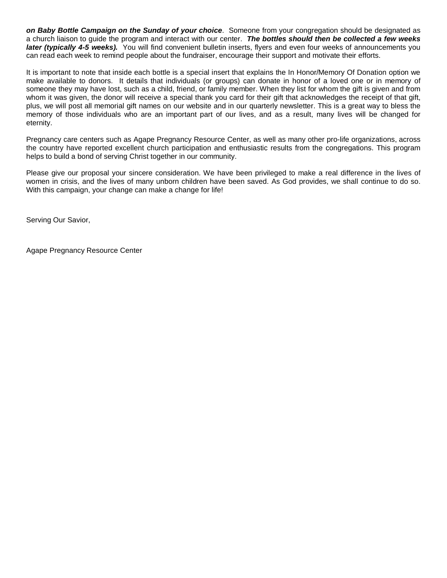*on Baby Bottle Campaign on the Sunday of your choice*. Someone from your congregation should be designated as a church liaison to guide the program and interact with our center. *The bottles should then be collected a few weeks later (typically 4-5 weeks).* You will find convenient bulletin inserts, flyers and even four weeks of announcements you can read each week to remind people about the fundraiser, encourage their support and motivate their efforts.

It is important to note that inside each bottle is a special insert that explains the In Honor/Memory Of Donation option we make available to donors. It details that individuals (or groups) can donate in honor of a loved one or in memory of someone they may have lost, such as a child, friend, or family member. When they list for whom the gift is given and from whom it was given, the donor will receive a special thank you card for their gift that acknowledges the receipt of that gift, plus, we will post all memorial gift names on our website and in our quarterly newsletter. This is a great way to bless the memory of those individuals who are an important part of our lives, and as a result, many lives will be changed for eternity.

Pregnancy care centers such as Agape Pregnancy Resource Center, as well as many other pro-life organizations, across the country have reported excellent church participation and enthusiastic results from the congregations. This program helps to build a bond of serving Christ together in our community.

Please give our proposal your sincere consideration. We have been privileged to make a real difference in the lives of women in crisis, and the lives of many unborn children have been saved. As God provides, we shall continue to do so. With this campaign, your change can make a change for life!

Serving Our Savior,

Agape Pregnancy Resource Center